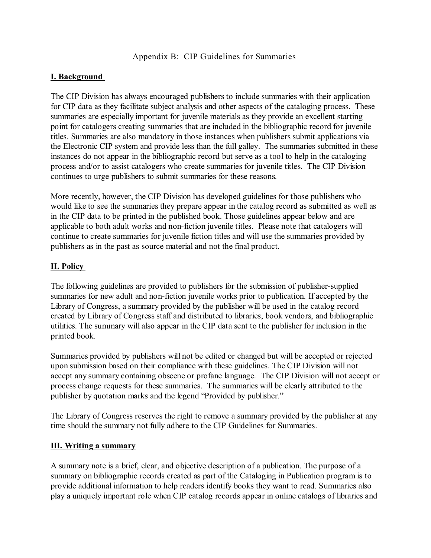# Appendix B: CIP Guidelines for Summaries

# **I. Background**

The CIP Division has always encouraged publishers to include summaries with their application for CIP data as they facilitate subject analysis and other aspects of the cataloging process. These summaries are especially important for juvenile materials as they provide an excellent starting point for catalogers creating summaries that are included in the bibliographic record for juvenile titles. Summaries are also mandatory in those instances when publishers submit applications via the Electronic CIP system and provide less than the full galley. The summaries submitted in these instances do not appear in the bibliographic record but serve as a tool to help in the cataloging process and/or to assist catalogers who create summaries for juvenile titles. The CIP Division continues to urge publishers to submit summaries for these reasons.

More recently, however, the CIP Division has developed guidelines for those publishers who would like to see the summaries they prepare appear in the catalog record as submitted as well as in the CIP data to be printed in the published book. Those guidelines appear below and are applicable to both adult works and non-fiction juvenile titles. Please note that catalogers will continue to create summaries for juvenile fiction titles and will use the summaries provided by publishers as in the past as source material and not the final product.

# **II. Policy**

The following guidelines are provided to publishers for the submission of publisher-supplied summaries for new adult and non-fiction juvenile works prior to publication. If accepted by the Library of Congress, a summary provided by the publisher will be used in the catalog record created by Library of Congress staff and distributed to libraries, book vendors, and bibliographic utilities. The summary will also appear in the CIP data sent to the publisher for inclusion in the printed book.

Summaries provided by publishers will not be edited or changed but will be accepted or rejected upon submission based on their compliance with these guidelines. The CIP Division will not accept any summary containing obscene or profane language. The CIP Division will not accept or process change requests for these summaries. The summaries will be clearly attributed to the publisher by quotation marks and the legend "Provided by publisher."

The Library of Congress reserves the right to remove a summary provided by the publisher at any time should the summary not fully adhere to the CIP Guidelines for Summaries.

# **III. Writing a summary**

A summary note is a brief, clear, and objective description of a publication. The purpose of a summary on bibliographic records created as part of the Cataloging in Publication program is to provide additional information to help readers identify books they want to read. Summaries also play a uniquely important role when CIP catalog records appear in online catalogs of libraries and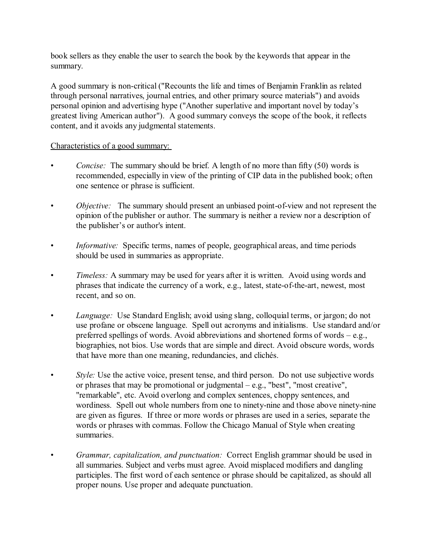book sellers as they enable the user to search the book by the keywords that appear in the summary.

A good summary is non-critical ("Recounts the life and times of Benjamin Franklin as related through personal narratives, journal entries, and other primary source materials") and avoids personal opinion and advertising hype ("Another superlative and important novel by today's greatest living American author"). A good summary conveys the scope of the book, it reflects content, and it avoids any judgmental statements.

# Characteristics of a good summary:

- *Concise:* The summary should be brief. A length of no more than fifty (50) words is recommended, especially in view of the printing of CIP data in the published book; often one sentence or phrase is sufficient.
- *Objective:* The summary should present an unbiased point-of-view and not represent the opinion of the publisher or author. The summary is neither a review nor a description of the publisher's or author's intent.
- *Informative:* Specific terms, names of people, geographical areas, and time periods should be used in summaries as appropriate.
- *Timeless:* A summary may be used for years after it is written. Avoid using words and phrases that indicate the currency of a work, e.g., latest, state-of-the-art, newest, most recent, and so on.
- *Language:* Use Standard English; avoid using slang, colloquial terms, or jargon; do not use profane or obscene language. Spell out acronyms and initialisms. Use standard and/or preferred spellings of words. Avoid abbreviations and shortened forms of words – e.g., biographies, not bios. Use words that are simple and direct. Avoid obscure words, words that have more than one meaning, redundancies, and clichés.
- *Style:* Use the active voice, present tense, and third person. Do not use subjective words or phrases that may be promotional or judgmental – e.g., "best", "most creative", "remarkable", etc. Avoid overlong and complex sentences, choppy sentences, and wordiness. Spell out whole numbers from one to ninety-nine and those above ninety-nine are given as figures. If three or more words or phrases are used in a series, separate the words or phrases with commas. Follow the Chicago Manual of Style when creating summaries.
- *Grammar, capitalization, and punctuation:* Correct English grammar should be used in all summaries. Subject and verbs must agree. Avoid misplaced modifiers and dangling participles. The first word of each sentence or phrase should be capitalized, as should all proper nouns. Use proper and adequate punctuation.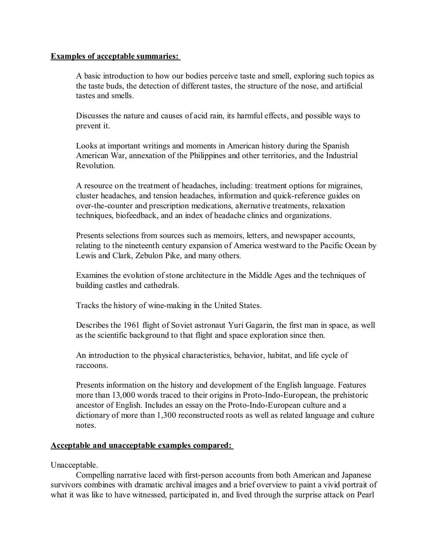### **Examples of acceptable summaries:**

A basic introduction to how our bodies perceive taste and smell, exploring such topics as the taste buds, the detection of different tastes, the structure of the nose, and artificial tastes and smells.

Discusses the nature and causes of acid rain, its harmful effects, and possible ways to prevent it.

Looks at important writings and moments in American history during the Spanish American War, annexation of the Philippines and other territories, and the Industrial Revolution.

A resource on the treatment of headaches, including: treatment options for migraines, cluster headaches, and tension headaches, information and quick-reference guides on over-the-counter and prescription medications, alternative treatments, relaxation techniques, biofeedback, and an index of headache clinics and organizations.

Presents selections from sources such as memoirs, letters, and newspaper accounts, relating to the nineteenth century expansion of America westward to the Pacific Ocean by Lewis and Clark, Zebulon Pike, and many others.

Examines the evolution of stone architecture in the Middle Ages and the techniques of building castles and cathedrals.

Tracks the history of wine-making in the United States.

Describes the 1961 flight of Soviet astronaut Yuri Gagarin, the first man in space, as well as the scientific background to that flight and space exploration since then.

An introduction to the physical characteristics, behavior, habitat, and life cycle of raccoons.

Presents information on the history and development of the English language. Features more than 13,000 words traced to their origins in Proto-Indo-European, the prehistoric ancestor of English. Includes an essay on the Proto-Indo-European culture and a dictionary of more than 1,300 reconstructed roots as well as related language and culture notes.

### **Acceptable and unacceptable examples compared:**

Unacceptable.

Compelling narrative laced with first-person accounts from both American and Japanese survivors combines with dramatic archival images and a brief overview to paint a vivid portrait of what it was like to have witnessed, participated in, and lived through the surprise attack on Pearl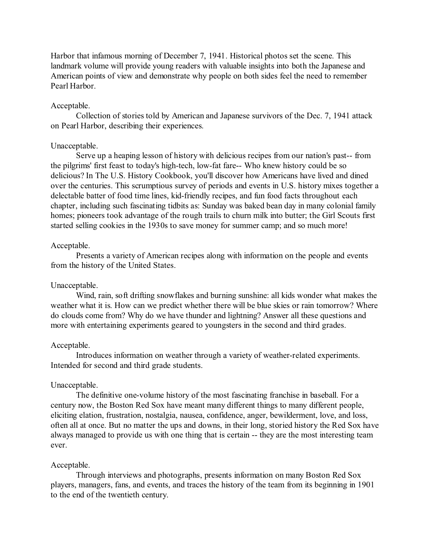Harbor that infamous morning of December 7, 1941. Historical photos set the scene. This landmark volume will provide young readers with valuable insights into both the Japanese and American points of view and demonstrate why people on both sides feel the need to remember Pearl Harbor.

### Acceptable.

Collection of stories told by American and Japanese survivors of the Dec. 7, 1941 attack on Pearl Harbor, describing their experiences.

### Unacceptable.

Serve up a heaping lesson of history with delicious recipes from our nation's past-- from the pilgrims' first feast to today's high-tech, low-fat fare-- Who knew history could be so delicious? In The U.S. History Cookbook, you'll discover how Americans have lived and dined over the centuries. This scrumptious survey of periods and events in U.S. history mixes together a delectable batter of food time lines, kid-friendly recipes, and fun food facts throughout each chapter, including such fascinating tidbits as: Sunday was baked bean day in many colonial family homes; pioneers took advantage of the rough trails to churn milk into butter; the Girl Scouts first started selling cookies in the 1930s to save money for summer camp; and so much more!

### Acceptable.

Presents a variety of American recipes along with information on the people and events from the history of the United States.

### Unacceptable.

Wind, rain, soft drifting snowflakes and burning sunshine: all kids wonder what makes the weather what it is. How can we predict whether there will be blue skies or rain tomorrow? Where do clouds come from? Why do we have thunder and lightning? Answer all these questions and more with entertaining experiments geared to youngsters in the second and third grades.

#### Acceptable.

Introduces information on weather through a variety of weather-related experiments. Intended for second and third grade students.

### Unacceptable.

The definitive one-volume history of the most fascinating franchise in baseball. For a century now, the Boston Red Sox have meant many different things to many different people, eliciting elation, frustration, nostalgia, nausea, confidence, anger, bewilderment, love, and loss, often all at once. But no matter the ups and downs, in their long, storied history the Red Sox have always managed to provide us with one thing that is certain -- they are the most interesting team ever.

### Acceptable.

Through interviews and photographs, presents information on many Boston Red Sox players, managers, fans, and events, and traces the history of the team from its beginning in 1901 to the end of the twentieth century.